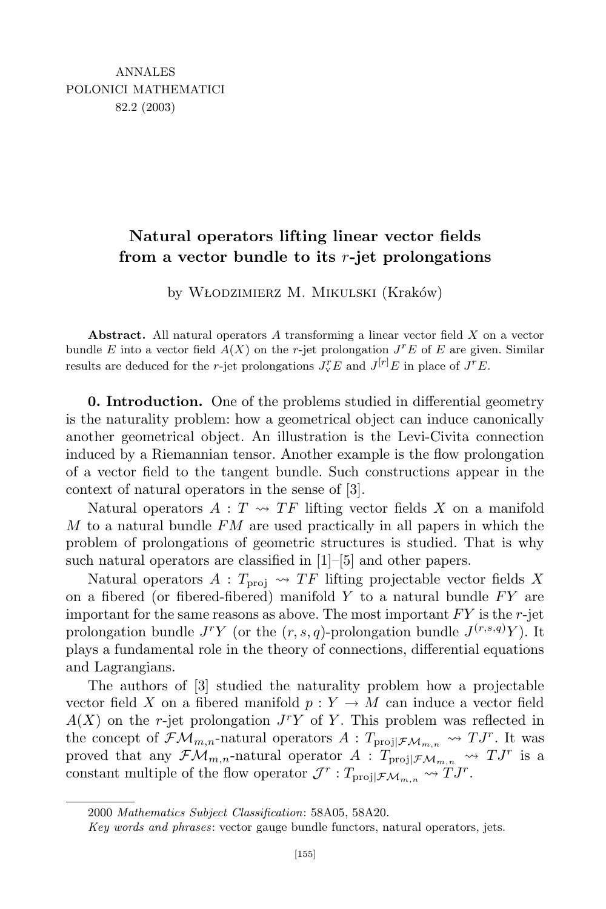# **Natural operators lifting linear vector fields from a vector bundle to its** *r***-jet prolongations**

by Włodzimierz M. Mikulski (Kraków)

**Abstract.** All natural operators *A* transforming a linear vector field *X* on a vector bundle *E* into a vector field  $A(X)$  on the *r*-jet prolongation  $J^rE$  of *E* are given. Similar results are deduced for the *r*-jet prolongations  $J_v^r E$  and  $J^{[r]}E$  in place of  $J^r E$ .

**0. Introduction.** One of the problems studied in differential geometry is the naturality problem: how a geometrical object can induce canonically another geometrical object. An illustration is the Levi-Civita connection induced by a Riemannian tensor. Another example is the flow prolongation of a vector field to the tangent bundle. Such constructions appear in the context of natural operators in the sense of [3].

Natural operators  $A: T \rightarrow T$  lifting vector fields X on a manifold *M* to a natural bundle *FM* are used practically in all papers in which the problem of prolongations of geometric structures is studied. That is why such natural operators are classified in [1]–[5] and other papers.

Natural operators  $A: T_{\text{proj}} \leadsto TF$  lifting projectable vector fields X on a fibered (or fibered-fibered) manifold *Y* to a natural bundle *FY* are important for the same reasons as above. The most important *FY* is the *r*-jet prolongation bundle  $J^{r}Y$  (or the  $(r, s, q)$ -prolongation bundle  $J^{(r,s,q)}Y$ ). It plays a fundamental role in the theory of connections, differential equations and Lagrangians.

The authors of [3] studied the naturality problem how a projectable vector field *X* on a fibered manifold  $p: Y \to M$  can induce a vector field  $A(X)$  on the *r*-jet prolongation  $J<sup>r</sup>Y$  of *Y*. This problem was reflected in the concept of  $\mathcal{FM}_{m,n}$ -natural operators  $A: T_{\text{proj}}|\mathcal{FM}_{m,n} \rightsquigarrow TJ^{r}$ . It was proved that any  $\mathcal{FM}_{m,n}$ -natural operator  $A: T_{\text{proj}} | \mathcal{FM}_{m,n} \longrightarrow TJ^{r}$  is a constant multiple of the flow operator  $\mathcal{J}^r$  :  $T_{\text{proj}} | \mathcal{F} \mathcal{M}_{m,n} \sim T J^r$ .

<sup>2000</sup> *Mathematics Subject Classification*: 58A05, 58A20.

*Key words and phrases*: vector gauge bundle functors, natural operators, jets.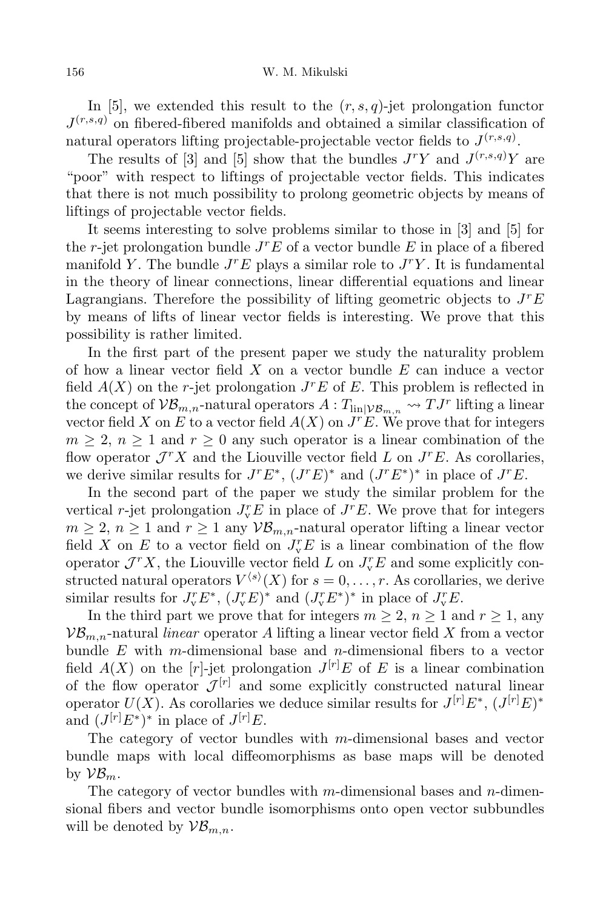In [5], we extended this result to the  $(r, s, q)$ -jet prolongation functor  $J^{(r,s,q)}$  on fibered-fibered manifolds and obtained a similar classification of natural operators lifting projectable-projectable vector fields to  $J^{(r,s,q)}$ .

The results of [3] and [5] show that the bundles  $J^{r}Y$  and  $J^{(r,s,q)}Y$  are "poor" with respect to liftings of projectable vector fields. This indicates that there is not much possibility to prolong geometric objects by means of liftings of projectable vector fields.

It seems interesting to solve problems similar to those in [3] and [5] for the *r*-jet prolongation bundle *J <sup>r</sup>E* of a vector bundle *E* in place of a fibered manifold *Y*. The bundle  $J^rE$  plays a similar role to  $J^rY$ . It is fundamental in the theory of linear connections, linear differential equations and linear Lagrangians. Therefore the possibility of lifting geometric objects to *J <sup>r</sup>E* by means of lifts of linear vector fields is interesting. We prove that this possibility is rather limited.

In the first part of the present paper we study the naturality problem of how a linear vector field *X* on a vector bundle *E* can induce a vector field  $A(X)$  on the *r*-jet prolongation  $J^rE$  of  $E$ . This problem is reflected in the concept of  $VB_{m,n}$ -natural operators  $A: T_{\text{lin}|VB_{m,n}} \to TJ^r$  lifting a linear vector field X on E to a vector field  $A(X)$  on  $J<sup>r</sup>E$ . We prove that for integers  $m \geq 2$ ,  $n \geq 1$  and  $r \geq 0$  any such operator is a linear combination of the flow operator  $\mathcal{J}^r X$  and the Liouville vector field *L* on  $J^r E$ . As corollaries, we derive similar results for  $J^r E^*$ ,  $(J^r E)^*$  and  $(J^r E^*)^*$  in place of  $J^r E$ .

In the second part of the paper we study the similar problem for the vertical *r*-jet prolongation  $J_v^r E$  in place of  $J^r E$ . We prove that for integers  $m \geq 2$ ,  $n \geq 1$  and  $r \geq 1$  any  $V\mathcal{B}_{m,n}$ -natural operator lifting a linear vector field *X* on *E* to a vector field on  $J_v^r E$  is a linear combination of the flow operator  $\mathcal{J}^r X$ , the Liouville vector field *L* on  $J_v^r E$  and some explicitly constructed natural operators  $V^{\langle s \rangle}(X)$  for  $s = 0, \ldots, r$ . As corollaries, we derive similar results for  $J_v^r E^*$ ,  $(J_v^r E)^*$  and  $(J_v^r E^*)^*$  in place of  $J_v^r E$ .

In the third part we prove that for integers  $m \geq 2$ ,  $n \geq 1$  and  $r \geq 1$ , any  $VB_{m,n}$ -natural *linear* operator *A* lifting a linear vector field *X* from a vector bundle *E* with *m*-dimensional base and *n*-dimensional fibers to a vector field  $A(X)$  on the [*r*]-jet prolongation  $J^{[r]}E$  of E is a linear combination of the flow operator  $\mathcal{J}^{[r]}$  and some explicitly constructed natural linear operator  $U(X)$ . As corollaries we deduce similar results for  $J^{[r]}E^*,$   $(J^{[r]}E)^*$ and  $(J^{[r]}E^*)^*$  in place of  $J^{[r]}E$ .

The category of vector bundles with *m*-dimensional bases and vector bundle maps with local diffeomorphisms as base maps will be denoted by  $\mathcal{VB}_m$ .

The category of vector bundles with *m*-dimensional bases and *n*-dimensional fibers and vector bundle isomorphisms onto open vector subbundles will be denoted by  $\mathcal{VB}_{m,n}$ .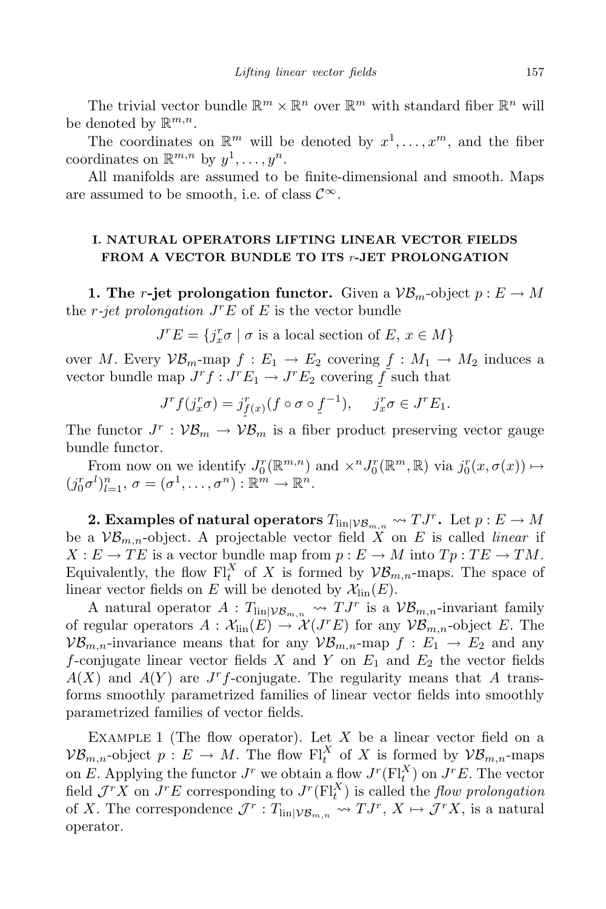The trivial vector bundle  $\mathbb{R}^m \times \mathbb{R}^n$  over  $\mathbb{R}^m$  with standard fiber  $\mathbb{R}^n$  will be denoted by R *m,n*.

The coordinates on  $\mathbb{R}^m$  will be denoted by  $x^1, \ldots, x^m$ , and the fiber coordinates on  $\mathbb{R}^{m,n}$  by  $y^1, \ldots, y^n$ .

All manifolds are assumed to be finite-dimensional and smooth. Maps are assumed to be smooth, i.e. of class  $\mathcal{C}^{\infty}$ .

# **I. NATURAL OPERATORS LIFTING LINEAR VECTOR FIELDS FROM A VECTOR BUNDLE TO ITS** *r***-JET PROLONGATION**

**1.** The *r*-jet prolongation functor. Given a  $\mathcal{VB}_m$ -object  $p: E \to M$ the *r-jet prolongation J <sup>r</sup>E* of *E* is the vector bundle

 $J^r E = \{ j_x^r \sigma \mid \sigma \text{ is a local section of } E, x \in M \}$ 

over *M*. Every  $\mathcal{VB}_m$ -map  $f : E_1 \to E_2$  covering  $f : M_1 \to M_2$  induces a vector bundle map  $J^r f : J^r E_1 \to J^r E_2$  covering  $\overline{f}$  such that

$$
J^r f(j_x^r \sigma) = j_{f(x)}^r (f \circ \sigma \circ f^{-1}), \quad j_x^r \sigma \in J^r E_1.
$$

The functor  $J^r$ :  $\mathcal{VB}_m \to \mathcal{VB}_m$  is a fiber product preserving vector gauge bundle functor.

From now on we identify  $J_0^r(\mathbb{R}^{m,n})$  and  $\times^n J_0^r(\mathbb{R}^m,\mathbb{R})$  via  $j_0^r(x,\sigma(x)) \mapsto$  $(j_0^r \sigma^l)_{l=1}^n$ ,  $\sigma = (\sigma^1, \ldots, \sigma^n) : \mathbb{R}^m \to \mathbb{R}^n$ .

**2. Examples** of natural operators  $T_{\text{lin}|V\mathcal{B}_{m,n}} \rightsquigarrow TJ^r$ . Let  $p: E \rightarrow M$ be a  $\mathcal{VB}_{m,n}$ -object. A projectable vector field X on E is called *linear* if  $X: E \to TE$  is a vector bundle map from  $p: E \to M$  into  $Tp: TE \to TM$ . Equivalently, the flow  $\mathrm{Fl}^X_t$  of *X* is formed by  $\mathcal{VB}_{m,n}$ -maps. The space of linear vector fields on *E* will be denoted by  $\mathcal{X}_{lin}(E)$ .

A natural operator  $A: T_{\text{lin}|V\mathcal{B}_{m,n}} \to TJ^r$  is a  $V\mathcal{B}_{m,n}$ -invariant family of regular operators  $A : \mathcal{X}_{lin}(E) \to \mathcal{X}(J^r E)$  for any  $\mathcal{VB}_{m,n}$ -object *E*. The  $V_{m,n}$ -invariance means that for any  $V_{m,n}$ -map  $f: E_1 \to E_2$  and any *f*-conjugate linear vector fields *X* and *Y* on *E*<sup>1</sup> and *E*<sup>2</sup> the vector fields  $A(X)$  and  $A(Y)$  are *J<sup>r</sup>f*-conjugate. The regularity means that *A* transforms smoothly parametrized families of linear vector fields into smoothly parametrized families of vector fields.

EXAMPLE 1 (The flow operator). Let X be a linear vector field on a  $\mathcal{VB}_{m,n}$ -object  $p: E \to M$ . The flow  $\mathrm{Fl}^X_t$  of X is formed by  $\mathcal{VB}_{m,n}$ -maps on *E*. Applying the functor  $J^r$  we obtain a flow  $J^r(\mathbf{Fl}_t^X)$  on  $J^rE$ . The vector field  $\mathcal{J}^r X$  on  $J^r E$  corresponding to  $J^r (\mathbf{Fl}_t^X)$  is called the *flow prolongation* of *X*. The correspondence  $\mathcal{J}^r$  :  $T_{\text{lin}|\mathcal{VB}_{m,n}} \rightsquigarrow TJ^r$ ,  $X \mapsto \mathcal{J}^rX$ , is a natural operator.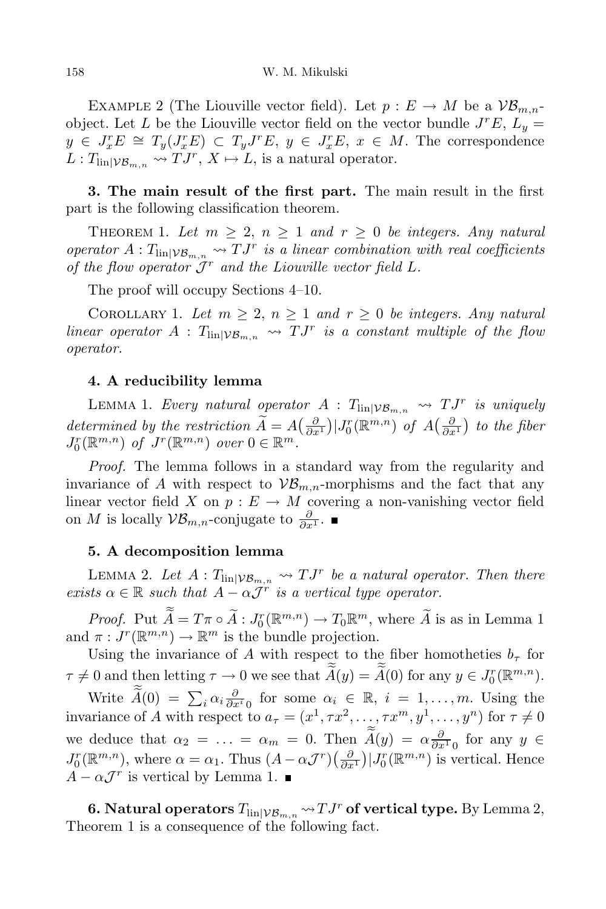EXAMPLE 2 (The Liouville vector field). Let  $p: E \to M$  be a  $\mathcal{VB}_{m,n}$ object. Let *L* be the Liouville vector field on the vector bundle  $J^rE$ ,  $L_y =$  $y \in J_x^r E \cong T_y(J_x^r E) \subset T_y J^r E$ ,  $y \in J_x^r E$ ,  $x \in M$ . The correspondence  $L: T_{\text{lin}|\mathcal{VB}_{m,n}} \to TJ^r, X \mapsto L$ , is a natural operator.

**3. The main result of the first part.** The main result in the first part is the following classification theorem.

THEOREM 1. Let  $m \geq 2$ ,  $n \geq 1$  and  $r \geq 0$  be integers. Any natural *operator*  $A: T_{\text{lin}|V\mathcal{B}_{m,n}} \to TJ^r$  *is a linear combination with real coefficients of the flow operator*  $J^r$  *and the Liouville vector field L.* 

The proof will occupy Sections 4–10.

COROLLARY 1. Let  $m \geq 2$ ,  $n \geq 1$  and  $r \geq 0$  be integers. Any natural *linear operator*  $A: T_{\text{lin}|VB_{m,n}} \rightarrow TJ^r$  *is a constant multiple of the flow operator.*

### **4. A reducibility lemma**

LEMMA 1. *Every natural operator*  $A : T_{\text{lin}|\mathcal{VB}_{m,n}} \rightarrow TJ^r$  *is uniquely* determined by the restriction  $\widetilde{A} = A\left(\frac{\partial}{\partial x^1}\right) |J_0^r(\mathbb{R}^{m,n})$  of  $A\left(\frac{\partial}{\partial x^1}\right)$  to the fiber  $J_0^r(\mathbb{R}^{m,n})$  *of*  $J^r(\mathbb{R}^{m,n})$  *over*  $0 \in \mathbb{R}^m$ *.* 

*Proof.* The lemma follows in a standard way from the regularity and invariance of *A* with respect to  $\mathcal{VB}_{m,n}$ -morphisms and the fact that any linear vector field *X* on  $p: E \to M$  covering a non-vanishing vector field on *M* is locally  $\mathcal{VB}_{m,n}$ -conjugate to  $\frac{\partial}{\partial x^1}$ .

# **5. A decomposition lemma**

LEMMA 2. Let  $A: T_{\text{lin}|\mathcal{VB}_{m,n}} \to TJ^r$  be a natural operator. Then there *exists*  $\alpha \in \mathbb{R}$  *such that*  $A - \alpha \mathcal{J}^r$  *is a vertical type operator.* 

*Proof.* Put  $\tilde{A} = T\pi \circ \tilde{A} : J_0^r(\mathbb{R}^{m,n}) \to T_0\mathbb{R}^m$ , where  $\tilde{A}$  is as in Lemma 1 and  $\pi: J^r(\mathbb{R}^{m,n}) \to \mathbb{R}^m$  is the bundle projection.

Using the invariance of *A* with respect to the fiber homotheties  $b<sub>\tau</sub>$  for  $\tau \neq 0$  and then letting  $\tau \to 0$  we see that  $\overline{A}(y) = \overline{A}(0)$  for any  $y \in J_0^r(\mathbb{R}^{m,n})$ .

Write  $\widetilde{A}(0) = \sum_i \alpha_i \frac{\partial}{\partial x^i}$  for some  $\alpha_i \in \mathbb{R}, i = 1, \ldots, m$ . Using the invariance of A with respect to  $a_{\tau} = (x^1, \tau x^2, ..., \tau x^m, y^1, ..., y^n)$  for  $\tau \neq 0$ we deduce that  $\alpha_2 = \ldots = \alpha_m = 0$ . Then  $\tilde{A}(y) = \alpha \frac{\partial}{\partial x^1}$  for any  $y \in$  $J_0^r(\mathbb{R}^{m,n})$ , where  $\alpha = \alpha_1$ . Thus  $(A - \alpha \mathcal{J}^r)(\frac{\partial}{\partial x^1}) | J_0^r(\mathbb{R}^{m,n})$  is vertical. Hence  $A - \alpha \mathcal{J}^r$  is vertical by Lemma 1.

**6. Natural operators**  $T_{\text{lin}|V\mathcal{B}_{m,n}} \leadsto TJ^r$  **of** vertical type. By Lemma 2, Theorem 1 is a consequence of the following fact.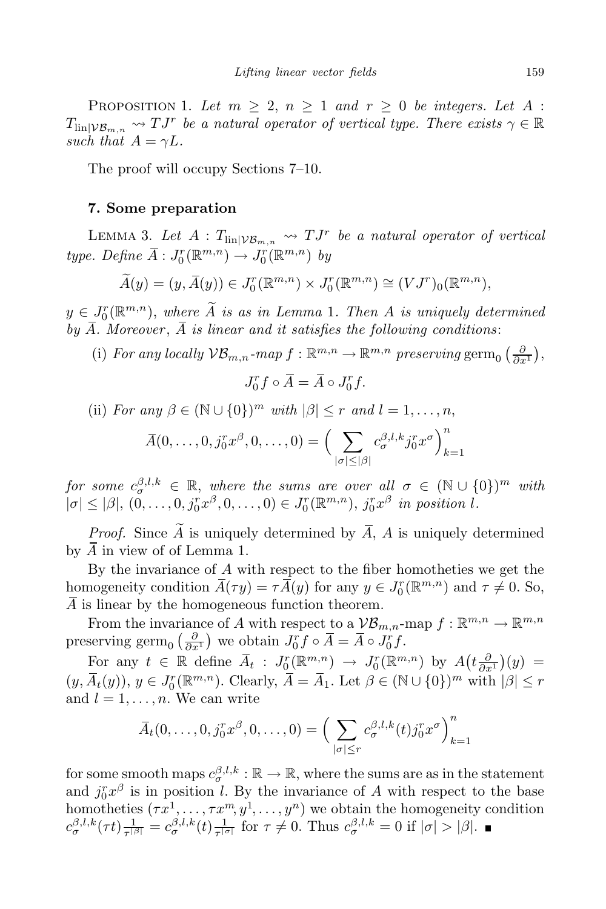PROPOSITION 1. Let  $m \geq 2$ ,  $n \geq 1$  and  $r \geq 0$  be integers. Let A :  $T_{\text{lin}|\mathcal{VB}_{m,n}} \rightsquigarrow TJ^r$  *be a natural operator of vertical type. There exists*  $\gamma \in \mathbb{R}$ *such that*  $A = \gamma L$ *.* 

The proof will occupy Sections 7–10.

#### **7. Some preparation**

LEMMA 3. Let  $A: T_{\text{lin}|\mathcal{VB}_{m,n}} \rightsquigarrow TJ^r$  be a natural operator of vertical  $type.$  *Define*  $\overline{A}: J_0^r(\mathbb{R}^{m,n}) \to J_0^r(\mathbb{R}^{m,n})$  *by* 

$$
\widetilde{A}(y) = (y, \overline{A}(y)) \in J_0^r(\mathbb{R}^{m,n}) \times J_0^r(\mathbb{R}^{m,n}) \cong (VJ^r)_0(\mathbb{R}^{m,n}),
$$

 $y \in J_0^r(\mathbb{R}^{m,n})$ , *where A is as in Lemma* 1*. Then A is uniquely determined* by  $\overline{A}$ *. Moreover*,  $\overline{A}$  *is linear and it satisfies the following conditions:* 

(i) *For any locally*  $VB_{m,n}$ *-map*  $f : \mathbb{R}^{m,n} \to \mathbb{R}^{m,n}$  *preserving* germ<sub>0</sub>  $\left(\frac{\partial}{\partial x^1}\right)$ ,

$$
J_0^r f \circ \overline{A} = \overline{A} \circ J_0^r f.
$$

(ii) *For any*  $\beta \in (\mathbb{N} \cup \{0\})^m$  *with*  $|\beta| \leq r$  *and*  $l = 1, \ldots, n$ ,

$$
\overline{A}(0,\ldots,0,\overline{j}_0^r x^{\beta},0,\ldots,0) = \Big(\sum_{|\sigma| \leq |\beta|} c_{\sigma}^{\beta,l,k} \overline{j}_0^r x^{\sigma}\Big)_{k=1}^n
$$

 $\int$ *for some*  $c_{\sigma}^{\beta,l,k} \in \mathbb{R}$ , *where the sums are over all*  $\sigma \in (\mathbb{N} \cup \{0\})^m$  *with*  $|\sigma| \leq |\beta|, (0,\ldots,0,j_0^rx^{\beta},0,\ldots,0) \in J_0^r(\mathbb{R}^{m,n}), j_0^rx^{\beta}$  in position l.

*Proof.* Since  $\widetilde{A}$  is uniquely determined by  $\overline{A}$ ,  $A$  is uniquely determined by *A* in view of of Lemma 1.

By the invariance of *A* with respect to the fiber homotheties we get the homogeneity condition  $\overline{A}(\tau y) = \tau \overline{A}(y)$  for any  $y \in J_0^r(\mathbb{R}^{m,n})$  and  $\tau \neq 0$ . So, *A* is linear by the homogeneous function theorem.

From the invariance of *A* with respect to a  $\mathcal{VB}_{m,n}$ -map  $f : \mathbb{R}^{m,n} \to \mathbb{R}^{m,n}$ preserving germ<sub>0</sub>  $\left(\frac{\partial}{\partial x^1}\right)$  we obtain  $J_0^r f \circ \overline{A} = \overline{A} \circ J_0^r f$ .

For any  $t \in \mathbb{R}$  define  $\overline{A}_t : J_0^r(\mathbb{R}^{m,n}) \to J_0^r(\mathbb{R}^{m,n})$  by  $A(t\frac{\partial}{\partial x^1})(y) =$  $(y, \overline{A}_t(y)), y \in J_0^r(\mathbb{R}^{m,n})$ . Clearly,  $\overline{A} = \overline{A}_1$ . Let  $\beta \in (\mathbb{N} \cup \{0\})^m$  with  $|\beta| \leq r$ and  $l = 1, \ldots, n$ . We can write

$$
\overline{A}_t(0,\ldots,0,\overline{j}_0^r x^{\beta},0,\ldots,0) = \Big(\sum_{|\sigma| \le r} c_{\sigma}^{\beta,l,k}(t) \overline{j}_0^r x^{\sigma}\Big)_{k=1}^n
$$

for some smooth maps  $c^{\beta,l,k}_{\sigma} : \mathbb{R} \to \mathbb{R}$ , where the sums are as in the statement and  $j_0^r x^{\beta}$  is in position *l*. By the invariance of *A* with respect to the base homotheties  $(\tau x^1, \ldots, \tau x^m, y^1, \ldots, y^n)$  we obtain the homogeneity condition  $c_{\sigma}^{\beta,l,k}(\tau t)|\frac{1}{\tau^{|\beta|}}$  $\frac{1}{\tau^{|\beta|}} = c_{\sigma}^{\beta,l,k}(t) \frac{1}{\tau^{|\alpha|}}$  $\frac{1}{\tau^{|\sigma|}}$  for  $\tau \neq 0$ . Thus  $c_{\sigma}^{\beta,l,k} = 0$  if  $|\sigma| > |\beta|$ .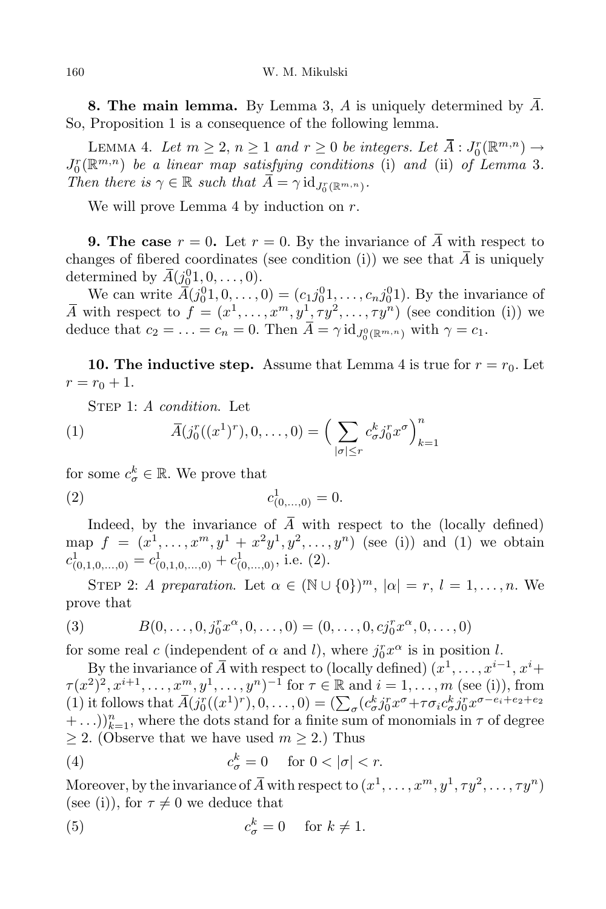**8. The main lemma.** By Lemma 3, *A* is uniquely determined by *A*. So, Proposition 1 is a consequence of the following lemma.

LEMMA 4. Let  $m \geq 2, n \geq 1$  and  $r \geq 0$  be integers. Let  $\overline{A} : J_0^r(\mathbb{R}^{m,n}) \to \mathbb{R}^{m,n}$  $J_0^r(\mathbb{R}^{m,n})$  *be a linear map satisfying conditions* (i) *and* (ii) *of Lemma* 3*. Then there is*  $\gamma \in \mathbb{R}$  *such that*  $A = \gamma \text{ id } J_{J_0}^r(\mathbb{R}^{m,n})$ .

We will prove Lemma 4 by induction on *r*.

**9.** The case  $r = 0$ . Let  $r = 0$ . By the invariance of  $\overline{A}$  with respect to changes of fibered coordinates (see condition (i)) we see that  $\overline{A}$  is uniquely determined by  $\bar{A}(\underline{j_0^0}1, 0, \ldots, 0)$ .

We can write  $\bar{A}(j_0^0 1, 0, \ldots, 0) = (c_1 j_0^0 1, \ldots, c_n j_0^0 1)$ . By the invariance of  $\overline{A}$  with respect to  $f = (x^1, \ldots, x^m, y^1, \tau y^2, \ldots, \tau y^n)$  (see condition (i)) we deduce that  $c_2 = \ldots = c_n = 0$ . Then  $A = \gamma \mathrm{id}_{J_0^0(\mathbb{R}^{m,n})}$  with  $\gamma = c_1$ .

**10. The inductive step.** Assume that Lemma 4 is true for  $r = r_0$ . Let  $r = r_0 + 1.$ 

Step 1: *A condition*. Let

(1) 
$$
\overline{A}(j_0^r((x^1)^r), 0, \dots, 0) = \left(\sum_{|\sigma| \le r} c_{\sigma}^k j_0^r x^{\sigma}\right)_{k=1}^n
$$

for some  $c^k_{\sigma} \in \mathbb{R}$ . We prove that (2) *c*

Indeed, by the invariance of  $\overline{A}$  with respect to the (locally defined) map  $f = (x^1, \ldots, x^m, y^1 + x^2y^1, y^2, \ldots, y^n)$  (see (i)) and (1) we obtain  $c^1_{(0,1,0,...,0)} = c^1_{(0,1,0,...,0)} + c^1_{(0,...,0)}$ , i.e. (2).

 $\frac{1}{(0,\ldots,0)} = 0.$ 

STEP 2: *A* preparation. Let  $\alpha \in (\mathbb{N} \cup \{0\})^m$ ,  $|\alpha| = r, l = 1, \ldots, n$ . We prove that

(3) 
$$
B(0,\ldots,0,j_0^r x^{\alpha},0,\ldots,0)=(0,\ldots,0,c j_0^r x^{\alpha},0,\ldots,0)
$$

for some real *c* (independent of  $\alpha$  and *l*), where  $j_0^r x^{\alpha}$  is in position *l*.

By the invariance of  $\overline{A}$  with respect to (locally defined)  $(x^1, \ldots, x^{i-1}, x^i +$  $\tau(x^2)^2, x^{i+1}, \ldots, x^m, y^1, \ldots, y^n)^{-1}$  for  $\tau \in \mathbb{R}$  and  $i = 1, \ldots, m$  (see (i)), from (1) it follows that  $\overline{A}(j_0^r((x^1)^r), 0, \ldots, 0) = (\sum_{\sigma} (c_{\sigma}^k j_0^r x^{\sigma} + \tau \sigma_i c_{\sigma}^k j_0^r x^{\sigma - e_i + e_2 + e_2})$  $+ \ldots$ ))<sup>n</sup><sub>k=1</sub>, where the dots stand for a finite sum of monomials in  $\tau$  of degree  $\geq$  2. (Observe that we have used  $m \geq 2$ .) Thus

(4) 
$$
c_{\sigma}^{k} = 0 \quad \text{for } 0 < |\sigma| < r.
$$

Moreover, by the invariance of  $\overline{A}$  with respect to  $(x^1,\ldots,x^m,y^1,\tau y^2,\ldots,\tau y^n)$ (see (i)), for  $\tau \neq 0$  we deduce that

(5) 
$$
c_{\sigma}^{k} = 0 \quad \text{for } k \neq 1.
$$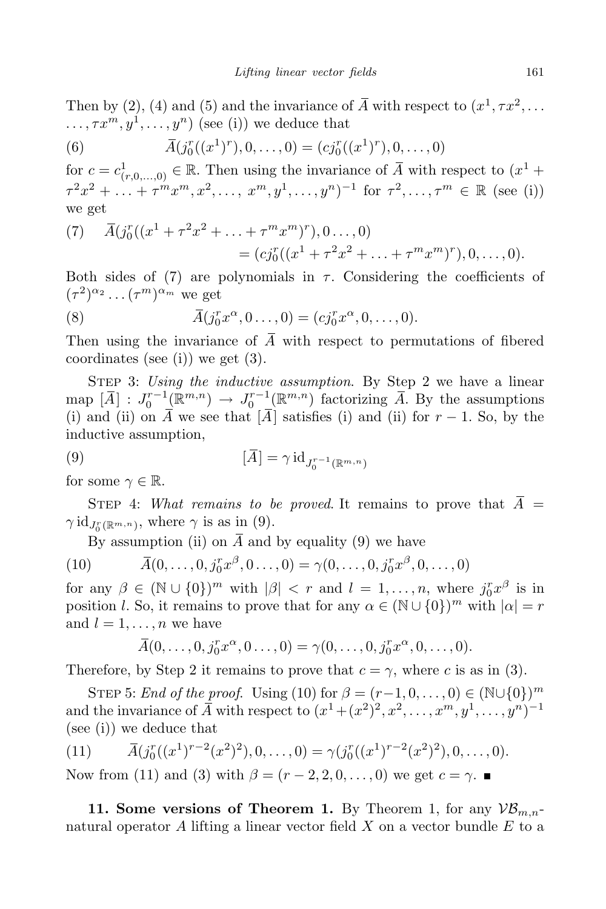Then by (2), (4) and (5) and the invariance of  $\overline{A}$  with respect to  $(x^1, \tau x^2, \ldots)$  $\dots, \tau x^m, y^1, \dots, y^n)$  (see (i)) we deduce that

(6) 
$$
\overline{A}(j_0^r((x^1)^r), 0, \ldots, 0) = (cj_0^r((x^1)^r), 0, \ldots, 0)
$$

for  $c = c^1_{(r,0,\ldots,0)} \in \mathbb{R}$ . Then using the invariance of  $\overline{A}$  with respect to  $(x^1 +$  $\tau^2 x^2 + \ldots + \tau^m x^m, x^2, \ldots, x^m, y^1, \ldots, y^n)^{-1}$  for  $\tau^2, \ldots, \tau^m \in \mathbb{R}$  (see (i)) we get

(7) 
$$
\overline{A}(j_0^r((x^1 + \tau^2 x^2 + \dots + \tau^m x^m)^r), 0 \dots, 0)
$$
  
=  $(cj_0^r((x^1 + \tau^2 x^2 + \dots + \tau^m x^m)^r), 0, \dots, 0).$ 

Both sides of  $(7)$  are polynomials in  $\tau$ . Considering the coefficients of  $(\tau^2)^{\alpha_2} \dots (\tau^m)^{\alpha_m}$  we get

(8) 
$$
\bar{A}(j_0^r x^{\alpha}, 0 \dots, 0) = (c j_0^r x^{\alpha}, 0, \dots, 0).
$$

Then using the invariance of  $\overline{A}$  with respect to permutations of fibered coordinates (see (i)) we get  $(3)$ .

Step 3: *Using the inductive assumption*. By Step 2 we have a linear  $\text{map} \ [\overline{A}] : J_0^{r-1}(\mathbb{R}^{m,n}) \to J_0^{r-1}(\mathbb{R}^{m,n}) \text{ factorizing } \overline{A}.$  By the assumptions (i) and (ii) on  $\overline{A}$  we see that  $\overline{A}$  satisfies (i) and (ii) for  $r-1$ . So, by the inductive assumption,

$$
\left[\overline{A}\right] = \gamma \operatorname{id}_{J_0^{r-1}(\mathbb{R}^{m,n})}
$$

for some  $\gamma \in \mathbb{R}$ .

STEP 4: *What remains to be proved*. It remains to prove that  $\overline{A}$  =  $\gamma$  id<sub>*J*<sup>*r*</sup></sup>( $\mathbb{R}^{m,n}$ ), where  $\gamma$  is as in (9).</sub>

By assumption (ii) on  $\overline{A}$  and by equality (9) we have

(10) 
$$
\overline{A}(0,\ldots,0,j_0^rx^{\beta},0\ldots,0)=\gamma(0,\ldots,0,j_0^rx^{\beta},0,\ldots,0)
$$

for any  $\beta \in (\mathbb{N} \cup \{0\})^m$  with  $|\beta| < r$  and  $l = 1, ..., n$ , where  $j_0^r x^{\beta}$  is in position *l*. So, it remains to prove that for any  $\alpha \in (\mathbb{N} \cup \{0\})^m$  with  $|\alpha| = r$ and  $l = 1, \ldots, n$  we have

$$
\overline{A}(0,\ldots,0,j_0^r x^{\alpha},0\ldots,0)=\gamma(0,\ldots,0,j_0^r x^{\alpha},0,\ldots,0).
$$

Therefore, by Step 2 it remains to prove that  $c = \gamma$ , where *c* is as in (3).

STEP 5: *End of the proof.* Using (10) for  $\beta = (r-1, 0, \ldots, 0) \in (\mathbb{N} \cup \{0\})^m$ and the invariance of  $\overline{A}$  with respect to  $(x^1 + (x^2)^2, x^2, \ldots, x^m, y^1, \ldots, y^n)^{-1}$ (see (i)) we deduce that

(11) 
$$
\overline{A}(j_0^r((x^1)^{r-2}(x^2)^2),0,\ldots,0) = \gamma(j_0^r((x^1)^{r-2}(x^2)^2),0,\ldots,0).
$$

Now from (11) and (3) with  $\beta = (r - 2, 2, 0, \ldots, 0)$  we get  $c = \gamma$ . ■

**11. Some versions** of **Theorem 1.** By Theorem 1, for any  $V\mathcal{B}_{m,n}$ natural operator *A* lifting a linear vector field *X* on a vector bundle *E* to a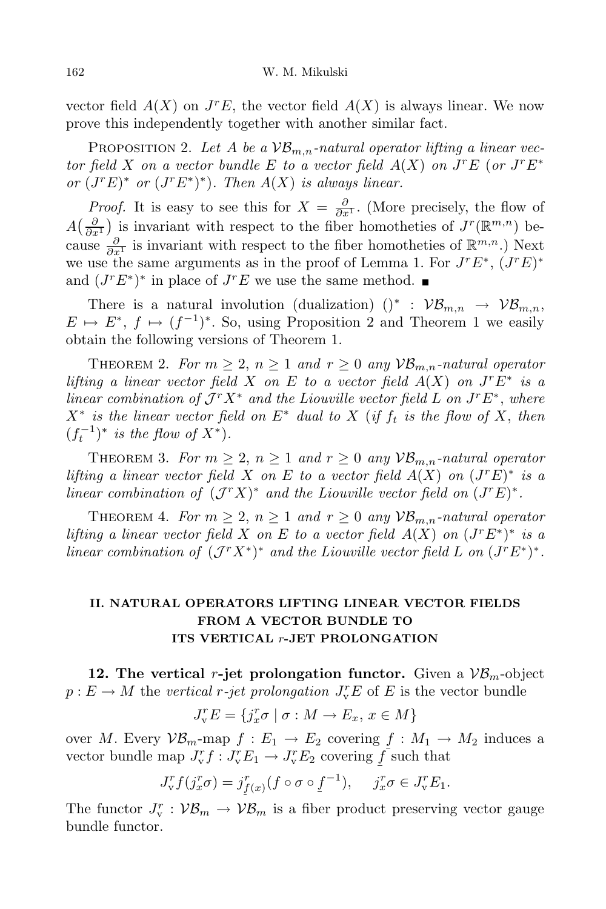vector field  $A(X)$  on  $J<sup>r</sup>E$ , the vector field  $A(X)$  is always linear. We now prove this independently together with another similar fact.

PROPOSITION 2. Let A be a  $VB_{m,n}$ -natural operator lifting a linear vector field X on a vector bundle E to a vector field  $A(X)$  on  $J^rE$  (or  $J^rE^*$ *or*  $(J^r E)^*$  *or*  $(J^r E^*)^*$ *). Then*  $A(X)$  *is always linear.* 

*Proof.* It is easy to see this for  $X = \frac{\partial}{\partial x^1}$ . (More precisely, the flow of  $A\left(\frac{\partial}{\partial x^1}\right)$  is invariant with respect to the fiber homotheties of  $J^r(\mathbb{R}^{m,n})$  because  $\frac{\partial}{\partial x^1}$  is invariant with respect to the fiber homotheties of  $\mathbb{R}^{m,n}$ .) Next we use the same arguments as in the proof of Lemma 1. For  $J^rE^*$ ,  $(J^rE)^*$ and  $(J^r E^*)^*$  in place of  $J^r E$  we use the same method.

There is a natural involution (dualization)  $()^* : \mathcal{VB}_{m,n} \to \mathcal{VB}_{m,n}$ ,  $E \mapsto E^*, f \mapsto (f^{-1})^*$ . So, using Proposition 2 and Theorem 1 we easily obtain the following versions of Theorem 1.

THEOREM 2. For  $m \geq 2$ ,  $n \geq 1$  and  $r \geq 0$  any  $\mathcal{VB}_{m,n}$ -natural operator *lifting a linear vector field X on E to a vector field*  $A(X)$  *on*  $J<sup>r</sup>E<sup>*</sup>$  *is a linear combination of*  $J^r X^*$  *and the Liouville vector field L on*  $J^r E^*$ , *where*  $X^*$  is the linear vector field on  $E^*$  dual to X (if  $f_t$  is the flow of X, then  $(f_t^{-1})^*$  *is the flow of*  $X^*$ ).

THEOREM 3. *For*  $m \geq 2$ ,  $n \geq 1$  *and*  $r \geq 0$  *any*  $\mathcal{VB}_{m,n}$ *-natural operator lifting a linear vector field X on E to a vector field*  $A(X)$  *on*  $(J<sup>r</sup>E)^*$  *is a linear combination of*  $(\mathcal{J}^r X)^*$  *and the Liouville vector field on*  $(\mathcal{J}^r E)^*$ .

THEOREM 4. For  $m \geq 2$ ,  $n \geq 1$  and  $r \geq 0$  any  $\mathcal{VB}_{m,n}$ -natural operator lifting a linear vector field X on E to a vector field  $A(X)$  on  $(J^r E^*)^*$  is a linear combination of  $(\mathcal{J}^r X^*)^*$  and the Liouville vector field L on  $(\mathcal{J}^r E^*)^*$ .

# **II. NATURAL OPERATORS LIFTING LINEAR VECTOR FIELDS FROM A VECTOR BUNDLE TO ITS VERTICAL** *r***-JET PROLONGATION**

**12.** The vertical *r*-jet prolongation functor. Given a  $VB<sub>m</sub>$ -object  $p: E \to M$  the *vertical r-jet prolongation*  $J_v^r E$  of  $E$  is the vector bundle

$$
J_v^r E = \{ j_x^r \sigma \mid \sigma : M \to E_x, \, x \in M \}
$$

over *M*. Every  $\mathcal{VB}_m$ -map  $f: E_1 \to E_2$  covering  $f: M_1 \to M_2$  induces a vector bundle map  $J_v^r f : J_v^r E_1 \to J_v^r E_2$  covering  $\overline{f}$  such that

$$
J_v^r f(j_x^r \sigma) = j_{f(x)}^r (f \circ \sigma \circ f^{-1}), \quad j_x^r \sigma \in J_v^r E_1.
$$

The functor  $J_v^r : \mathcal{VB}_m \to \mathcal{VB}_m$  is a fiber product preserving vector gauge bundle functor.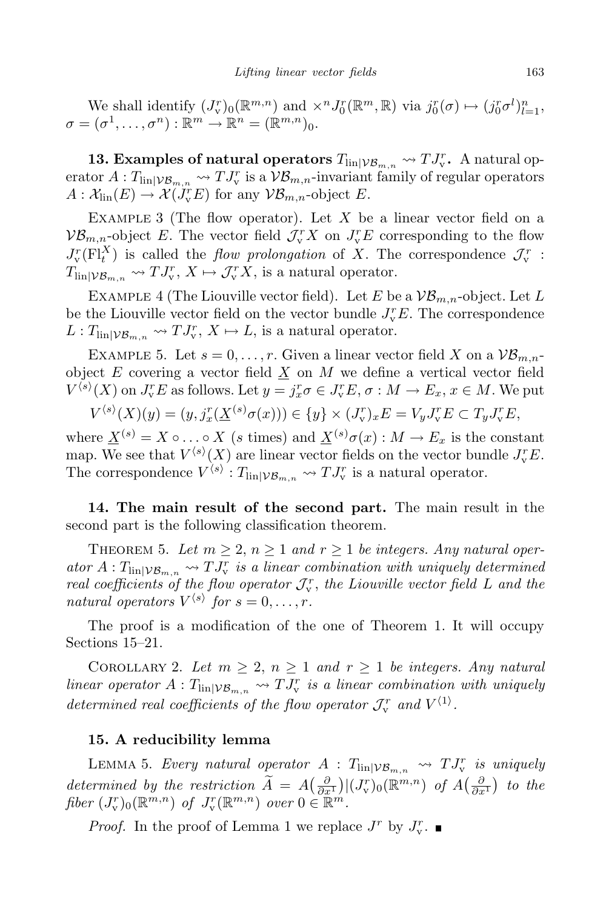We shall identify  $(J_v^r)_0(\mathbb{R}^{m,n})$  and  $\times^n J_0^r(\mathbb{R}^m,\mathbb{R})$  via  $j_0^r(\sigma) \mapsto (j_0^r \sigma^l)_{l=1}^n$ ,  $\sigma = (\sigma^1, \ldots, \sigma^n) : \mathbb{R}^m \to \mathbb{R}^n = (\mathbb{R}^{m,n})_0.$ 

**13. Examples of natural operators**  $T_{\text{lin}|V_{B_{m,n}}}\nightharpoonup T_{\text{v}}^T$ . A natural operator  $A: T_{\text{lin}}|_{V_{\mathcal{B}_{m,n}}} \to TJ_{\text{v}}^r$  is a  $V_{\mathcal{B}_{m,n}}$ -invariant family of regular operators  $A: \mathcal{X}_{\text{lin}}(E) \to \mathcal{X}(J_{\mathbf{v}}^r E)$  for any  $\mathcal{VB}_{m,n}$ -object *E*.

EXAMPLE 3 (The flow operator). Let X be a linear vector field on a  $\mathcal{VB}_{m,n}$ -object *E*. The vector field  $\mathcal{J}_{\text{v}}^r X$  on  $J_{\text{v}}^r E$  corresponding to the flow  $J_v^r(F)_t^X$  is called the *flow prolongation* of *X*. The correspondence  $J_v^r$ :  $T_{\text{lin}|\mathcal{VB}_{m,n}} \rightsquigarrow TJ_{\text{v}}^r, X \mapsto \mathcal{J}_{\text{v}}^r X$ , is a natural operator.

EXAMPLE 4 (The Liouville vector field). Let *E* be a  $\mathcal{VB}_{m,n}$ -object. Let *L* be the Liouville vector field on the vector bundle  $J_v^rE$ . The correspondence  $L: T_{\text{lin}|\mathcal{VB}_{m,n}} \to TJ_{\text{v}}^r, X \mapsto L$ , is a natural operator.

EXAMPLE 5. Let  $s = 0, \ldots, r$ . Given a linear vector field X on a  $\mathcal{VB}_{m,n}$ object  $E$  covering a vector field  $\underline{X}$  on  $M$  we define a vertical vector field  $V^{\langle s \rangle}(X)$  on  $J_v^r E$  as follows. Let  $y = j_x^r \sigma \in J_v^r E$ ,  $\sigma : M \to E_x$ ,  $x \in M$ . We put

$$
V^{\langle s \rangle}(X)(y) = (y, j_x^r(\underline{X}^{(s)}\sigma(x))) \in \{y\} \times (J_v^r)_x E = V_y J_v^r E \subset T_y J_v^r E,
$$

where  $\underline{X}^{(s)} = X \circ \dots \circ X$  (*s* times) and  $\underline{X}^{(s)} \sigma(x) : M \to E_x$  is the constant map. We see that  $V^{\langle s \rangle}(X)$  are linear vector fields on the vector bundle  $J_v^rE$ . The correspondence  $V^{\langle s \rangle}: T_{\text{lin}|\mathcal{VB}_{m,n}} \leadsto TJ_v^r$  is a natural operator.

**14. The main result of the second part.** The main result in the second part is the following classification theorem.

THEOREM 5. Let  $m \geq 2$ ,  $n \geq 1$  and  $r \geq 1$  be integers. Any natural oper- $\int$  *ator*  $A: T_{\text{lin}} | \nu_{\mathcal{B}_{m,n}} \rightarrow T J_{\text{v}}^r$  *is a linear combination with uniquely determined real coefficients of the flow operator*  $J_v^r$ , *the Liouville vector field L and the natural operators*  $V^{\langle s \rangle}$  *for*  $s = 0, \ldots, r$ *.* 

The proof is a modification of the one of Theorem 1. It will occupy Sections 15–21.

COROLLARY 2. Let  $m \geq 2$ ,  $n \geq 1$  and  $r \geq 1$  be integers. Any natural *linear operator*  $A: T_{\text{lin}|V\mathcal{B}_{m,n}} \rightarrow TJ_v^r$  *is a linear combination with uniquely determined real coefficients of the flow operator*  $\mathcal{J}_v^r$  *and*  $V^{\langle 1 \rangle}$ *.* 

### **15. A reducibility lemma**

LEMMA 5. *Every natural operator*  $A: T_{\text{lin}|\mathcal{VB}_{m,n}} \rightsquigarrow TJ^r_v$  *is uniquely* determined by the restriction  $\widetilde{A} = A\left(\frac{\partial}{\partial x^1}\right)|(J_v^r)_0(\mathbb{R}^{m,n})$  of  $A\left(\frac{\partial}{\partial x^1}\right)$  to the *fiber*  $(J_v^r)_0(\mathbb{R}^{m,n})$  *of*  $J_v^r(\mathbb{R}^{m,n})$  *over*  $0 \in \mathbb{R}^m$ *.* 

*Proof.* In the proof of Lemma 1 we replace  $J^r$  by  $J_v^r$ .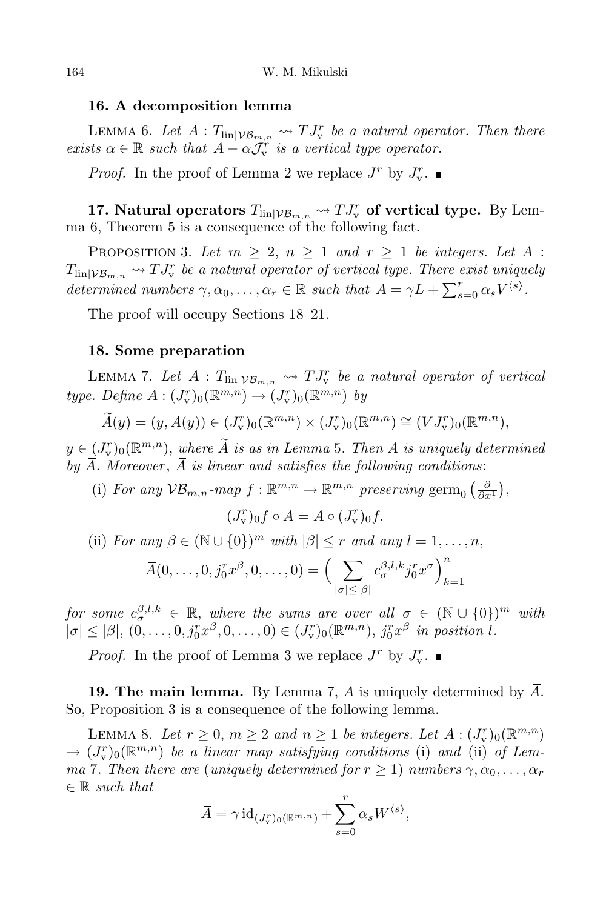#### **16. A decomposition lemma**

LEMMA 6. Let  $A: T_{\text{lin}|\mathcal{VB}_{m,n}} \rightsquigarrow TJ_v^r$  be a natural operator. Then there *exists*  $\alpha \in \mathbb{R}$  *such that*  $A - \alpha \mathcal{J}_{\mathbf{v}}^r$  *is a vertical type operator.* 

*Proof.* In the proof of Lemma 2 we replace  $J^r$  by  $J_v^r$ .

**17. Natural operators**  $T_{\text{lin}|\mathcal{VB}_{m,n}} \leadsto TJ_v^r$  of vertical type. By Lemma 6, Theorem 5 is a consequence of the following fact.

PROPOSITION 3. Let  $m \geq 2$ ,  $n \geq 1$  and  $r \geq 1$  be integers. Let A :  $T_{\text{lin}|\mathcal{VB}_{m,n}} \rightsquigarrow TJ_v^r$  *be a natural operator of vertical type. There exist uniquely* determined numbers  $\gamma, \alpha_0, \ldots, \alpha_r \in \mathbb{R}$  such that  $A = \gamma L + \sum_{s=0}^r \alpha_s V^{\langle s \rangle}$ .

The proof will occupy Sections 18–21.

#### **18. Some preparation**

LEMMA 7. Let  $A: T_{\text{lin}|\mathcal{VB}_{m,n}} \rightsquigarrow TJ^r_v$  be a natural operator of vertical  $type.$  *Define*  $\overline{A}: (J_v^r)_0(\mathbb{R}^{m,n}) \to (J_v^r)_0(\mathbb{R}^{m,n})$  *by* 

$$
\widetilde{A}(y) = (y, \overline{A}(y)) \in (J_v^r)_0(\mathbb{R}^{m,n}) \times (J_v^r)_0(\mathbb{R}^{m,n}) \cong (VJ_v^r)_0(\mathbb{R}^{m,n}),
$$

 $y \in (J_v^r)_0(\mathbb{R}^{m,n})$ , *where A is as in Lemma* 5*. Then A is uniquely* determined *by*  $\overline{A}$ *. Moreover*,  $\overline{A}$  *is linear and satisfies the following conditions:* 

(i) *For any*  $\mathcal{VB}_{m,n}$ *-map*  $f: \mathbb{R}^{m,n} \to \mathbb{R}^{m,n}$  preserving germ<sub>0</sub>  $\left(\frac{\partial}{\partial x^1}\right)$ ,

$$
(J_{\mathbf{v}}^r)_0 f \circ \overline{A} = \overline{A} \circ (J_{\mathbf{v}}^r)_0 f.
$$

(ii) For any  $\beta \in (\mathbb{N} \cup \{0\})^m$  with  $|\beta| \leq r$  and any  $l = 1, ..., n$ ,

$$
\overline{A}(0,\ldots,0,j_0^r x^{\beta},0,\ldots,0) = \Big(\sum_{|\sigma| \leq |\beta|} c_{\sigma}^{\beta,l,k} j_0^r x^{\sigma}\Big)_{k=1}^n
$$

 $\int$ *for some*  $c_{\sigma}^{\beta,l,k} \in \mathbb{R}$ , *where the sums are over all*  $\sigma \in (\mathbb{N} \cup \{0\})^m$  *with*  $|\sigma| \leq |\beta|, (0,\ldots,0,j_0^r x^{\beta},0,\ldots,0) \in (J_v^r)_0(\mathbb{R}^{m,n}), j_0^r x^{\beta}$  in position l.

*Proof.* In the proof of Lemma 3 we replace  $J^r$  by  $J_v^r$ .

**19. The main lemma.** By Lemma 7, A is uniquely determined by  $\overline{A}$ . So, Proposition 3 is a consequence of the following lemma.

LEMMA 8. Let  $r \geq 0$ ,  $m \geq 2$  and  $n \geq 1$  be integers. Let  $\overline{A}$  :  $(J_v^r)_0(\mathbb{R}^{m,n})$  $\rightarrow$   $(J_v^r)_0(\mathbb{R}^{m,n})$  *be a linear map satisfying conditions* (i) *and* (ii) *of Lemma* 7*. Then there are* (*uniquely determined for*  $r \geq 1$ ) *numbers*  $\gamma, \alpha_0, \ldots, \alpha_r$ *∈* R *such that*

$$
\overline{A} = \gamma \operatorname{id}_{(J_v^r)_0(\mathbb{R}^{m,n})} + \sum_{s=0}^r \alpha_s W^{\langle s \rangle},
$$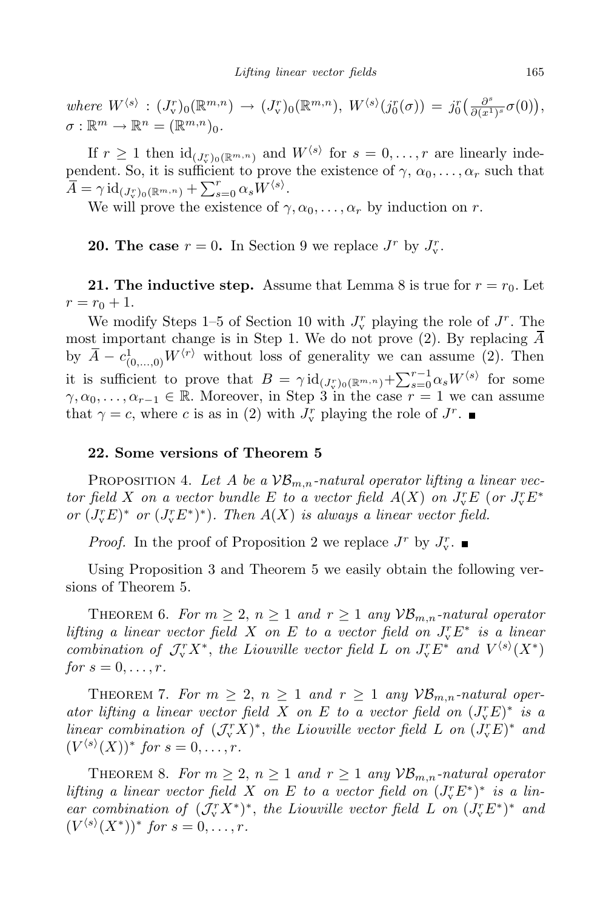where  $W^{\langle s \rangle} : (J_v^r)_0(\mathbb{R}^{m,n}) \to (J_v^r)_0(\mathbb{R}^{m,n}), W^{\langle s \rangle}(j_0^r(\sigma)) = j_0^r\left(\frac{\partial^s}{\partial (x^1)}\right)$  $\frac{\partial^s}{\partial (x^1)^s} \sigma (0) \big),$  $\sigma : \mathbb{R}^m \to \mathbb{R}^n = (\mathbb{R}^{m,n})_0.$ 

If  $r \geq 1$  then  $\mathrm{id}_{(J_r^r)_0(\mathbb{R}^{m,n})}$  and  $W^{\langle s \rangle}$  for  $s = 0, \ldots, r$  are linearly independent. So, it is sufficient to prove the existence of  $\gamma$ ,  $\alpha_0, \ldots, \alpha_r$  such that  $\overline{A} = \gamma \, \mathrm{id}_{(J_v^r)_0(\mathbb{R}^{m,n})} + \sum_{s=0}^r \alpha_s W^{\langle s \rangle}.$ 

We will prove the existence of  $\gamma, \alpha_0, \ldots, \alpha_r$  by induction on *r*.

**20.** The case  $r = 0$ . In Section 9 we replace  $J^r$  by  $J_v^r$ .

**21.** The **inductive** step. Assume that Lemma 8 is true for  $r = r_0$ . Let  $r = r_0 + 1.$ 

We modify Steps 1–5 of Section 10 with  $J_v^r$  playing the role of  $J^r$ . The most important change is in Step 1. We do not prove (2). By replacing  $\overline{A}$ by  $\overline{A} - c^1_{(0,\ldots,0)} W^{\langle r \rangle}$  without loss of generality we can assume (2). Then it is sufficient to prove that  $B = \gamma \mathrm{id}_{(J_v^r)_0(\mathbb{R}^{m,n})} + \sum_{s=0}^{r-1} \alpha_s W^{\langle s \rangle}$  for some  $\gamma, \alpha_0, \ldots, \alpha_{r-1} \in \mathbb{R}$ . Moreover, in Step 3 in the case  $r = 1$  we can assume that  $\gamma = c$ , where *c* is as in (2) with  $J_v^r$  playing the role of  $J^r$ .

#### **22. Some versions of Theorem 5**

PROPOSITION 4. Let A be a  $VB_{m,n}$ -natural operator lifting a linear vector field X on a vector bundle E to a vector field  $A(X)$  on  $J_v^rE$  (or  $J_v^rE^*$ *or*  $(J_v^r E)^*$  *or*  $(J_v^r E^*)^*$ *). Then*  $A(X)$  *is always a linear vector field.* 

*Proof.* In the proof of Proposition 2 we replace  $J^r$  by  $J_v^r$ .

Using Proposition 3 and Theorem 5 we easily obtain the following versions of Theorem 5.

THEOREM 6. For  $m \geq 2$ ,  $n \geq 1$  and  $r \geq 1$  any  $\mathcal{VB}_{m,n}$ -natural operator *lifting a linear vector field X on E to a vector field on*  $J_v^r E^*$  *is a linear* combination of  $\mathcal{J}_v^r X^*$ , the Liouville vector field L on  $J_v^r E^*$  and  $V^{(s)}(X^*)$  $for s = 0, \ldots, r$ .

THEOREM 7. For  $m \geq 2$ ,  $n \geq 1$  and  $r \geq 1$  any  $\mathcal{VB}_{m,n}$ -natural oper*ator lifting a linear vector field X on E to a vector field on*  $(J_v^r E)^*$  *is a linear combination of*  $(\mathcal{J}_{\mathbf{v}}^r X)^*$ , *the Liouville vector field L on*  $(\mathcal{J}_{\mathbf{v}}^r E)^*$  *and*  $(V^{(s)}(X))^*$  *for*  $s = 0, \ldots, r$ .

THEOREM 8. *For*  $m \geq 2$ ,  $n \geq 1$  *and*  $r \geq 1$  *any*  $\mathcal{VB}_{m,n}$ *-natural operator* lifting a linear vector field X on E to a vector field on  $(J_v^r E^*)^*$  is a lin*ear combination of*  $(\mathcal{J}_{\mathbf{v}}^r X^*)^*$ , *the Liouville vector field L on*  $(\mathcal{J}_{\mathbf{v}}^r E^*)^*$  *and*  $(V^{(s)}(X^*))^*$  *for*  $s = 0, \ldots, r$ .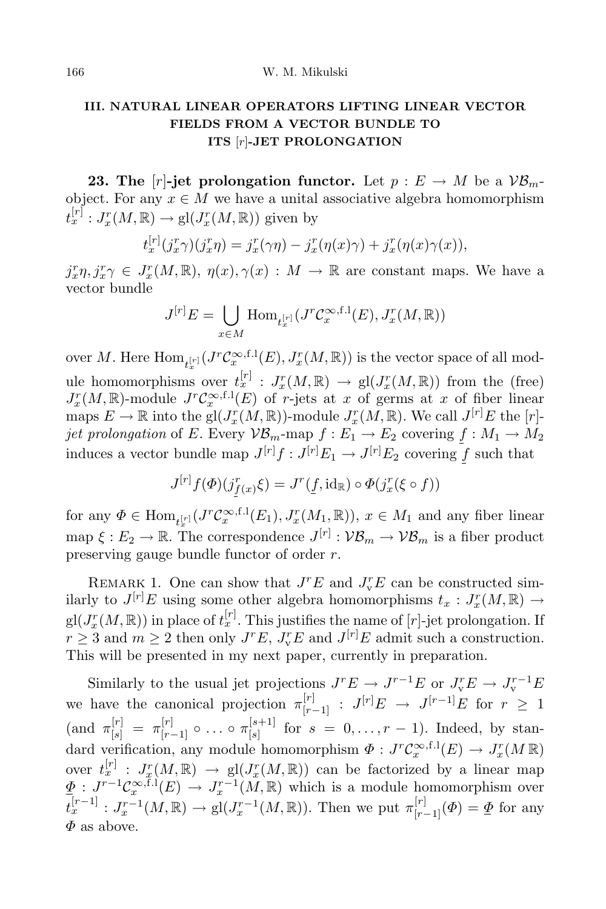# **III. NATURAL LINEAR OPERATORS LIFTING LINEAR VECTOR FIELDS FROM A VECTOR BUNDLE TO ITS** [*r*]**-JET PROLONGATION**

**23.** The  $[r]$ -jet prolongation functor. Let  $p: E \to M$  be a  $V\mathcal{B}_m$ object. For any  $x \in M$  we have a unital associative algebra homomorphism  $t_x^{[r]}: J_x^r(M, \mathbb{R}) \to \text{gl}(J_x^r(M, \mathbb{R}))$  given by

$$
t_x^{[r]}(j_x^r\gamma)(j_x^r\eta) = j_x^r(\gamma\eta) - j_x^r(\eta(x)\gamma) + j_x^r(\eta(x)\gamma(x)),
$$

 $j_x^r \eta$ ,  $j_x^r \gamma \in J_x^r(M, \mathbb{R})$ ,  $\eta(x)$ ,  $\gamma(x) : M \to \mathbb{R}$  are constant maps. We have a vector bundle

$$
J^{[r]}E = \bigcup_{x \in M} \text{Hom}_{t_x^{[r]}}(J^r \mathcal{C}_x^{\infty, f.1}(E), J_x^r(M, \mathbb{R}))
$$

over *M*. Here  $\text{Hom}_{t_x^{[r]}}(J^r\mathcal{C}_x^{\infty,\text{f.l}}(E), J_x^r(M, \mathbb{R}))$  is the vector space of all mod*x* ule homomorphisms over  $t_x^{[r]}$  :  $J_x^r(M,\mathbb{R}) \to \text{gl}(J_x^r(M,\mathbb{R}))$  from the (free)  $J_x^r(M, \mathbb{R})$ -module  $J^r \mathcal{C}_x^{\infty, f.1}(E)$  of *r*-jets at *x* of germs at *x* of fiber linear maps  $E \to \mathbb{R}$  into the gl $(J_x^r(M, \mathbb{R}))$ -module  $J_x^r(M, \mathbb{R})$ . We call  $J^{[r]}E$  the [*r*]*jet* prolongation of *E*. Every  $\mathcal{VB}_m$ -map  $f : E_1 \to E_2$  covering  $f : M_1 \to M_2$ induces a vector bundle map  $J^{[r]}f : J^{[r]}E_1 \to J^{[r]}E_2$  covering  $\underline{f}$  such that

$$
J^{[r]}f(\Phi)(j^r_{f(x)}\xi) = J^r(\underline{f}, \mathrm{id}_{\mathbb{R}}) \circ \Phi(j^r_x(\xi \circ f))
$$

for any  $\Phi \in \text{Hom}_{t_x^{[r]}}(J^r \mathcal{C}_x^{\infty, f.1}(E_1), J_x^r(M_1, \mathbb{R}))$ ,  $x \in M_1$  and any fiber linear  $\text{map } \xi : E_2 \to \mathbb{R}$ . The correspondence  $J^{[r]} : \mathcal{VB}_m \to \mathcal{VB}_m$  is a fiber product preserving gauge bundle functor of order *r*.

REMARK 1. One can show that  $J^rE$  and  $J_v^rE$  can be constructed similarly to  $J^{[r]}E$  using some other algebra homomorphisms  $t_x : J^r_x(M, \mathbb{R}) \to$  $gl(J_x^r(M,\mathbb{R}))$  in place of  $t_x^{[r]}$ . This justifies the name of  $[r]$ -jet prolongation. If  $r \geq 3$  and  $m \geq 2$  then only  $J^rE$ ,  $J_v^rE$  and  $J^{[r]}E$  admit such a construction. This will be presented in my next paper, currently in preparation.

Similarly to the usual jet projections  $J^r E \rightarrow J^{r-1} E$  or  $J_v^r E \rightarrow J_v^{r-1} E$ we have the canonical projection  $\pi_{[r-1]}^{[r]}$  :  $J^{[r]}E \rightarrow J^{[r-1]}E$  for  $r \geq 1$  $(\text{and } \pi_{[s]}^{[r]} = \pi_{[r-1]}^{[r]} \circ \dots \circ \pi_{[s]}^{[s+1]}$  $[s]$ <sup>[s+1]</sup> for  $s = 0, ..., r - 1$ . Indeed, by standard verification, any module homomorphism  $\Phi: J^r \mathcal{C}_x^{\infty, f,1}(E) \to J_x^r(M \mathbb{R})$ over  $t_x^{[r]}$  :  $J_x^r(M,\mathbb{R}) \to \text{gl}(J_x^r(M,\mathbb{R}))$  can be factorized by a linear map  $\underline{\Phi}: J^{r-1}\mathcal{C}^{\infty,\mathrm{f.l}}_x(E) \to J^{r-1}_x(M,\mathbb{R})$  which is a module homomorphism over  $t_x^{[r-1]}$ :  $J_x^{r-1}(M,\mathbb{R}) \to \text{gl}(J_x^{r-1}(M,\mathbb{R}))$ . Then we put  $\pi_{[r-1]}^{[r]}(\Phi) = \underline{\Phi}$  for any *Φ* as above.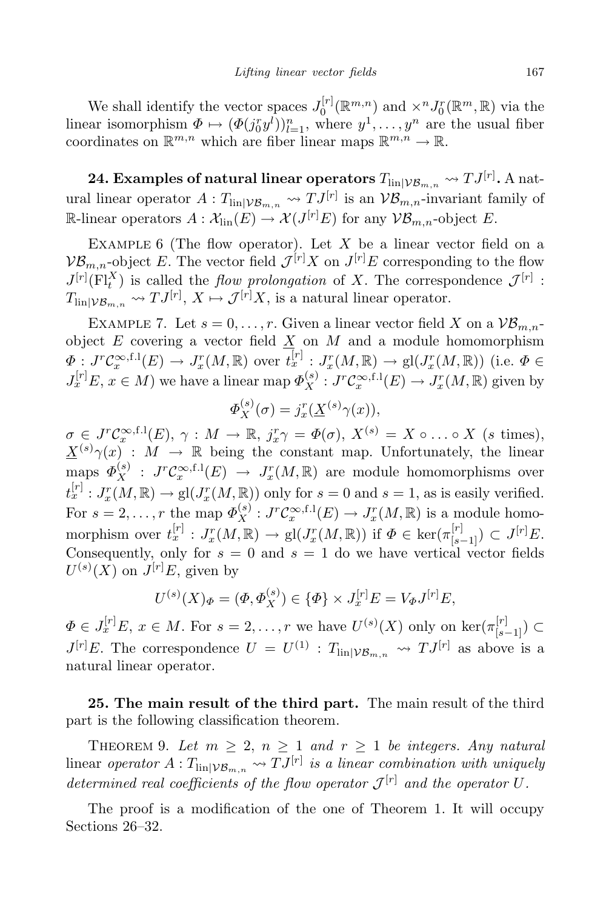We shall identify the vector spaces  $J_0^{[r]}$  $\int_0^{\lfloor r \rfloor} (\mathbb{R}^m, n)$  and  $\times^n J_0^r(\mathbb{R}^m, \mathbb{R})$  via the linear isomorphism  $\Phi \mapsto (\Phi(j_0^r y^l))_{l=1}^n$ , where  $y^1, \ldots, y^n$  are the usual fiber coordinates on  $\mathbb{R}^{m,n}$  which are fiber linear maps  $\mathbb{R}^{m,n} \to \mathbb{R}$ .

**24. Examples of natural linear operators**  $T_{\text{lin}|V\mathcal{B}_{m,n}} \rightsquigarrow TJ^{[r]}.$  A natural linear operator  $A: T_{\text{lin}|\mathcal{VB}_{m,n}} \to TJ^{[r]}$  is an  $\mathcal{VB}_{m,n}$ -invariant family of  $\mathbb{R}\text{-linear operators } A: \mathcal{X}_{\text{lin}}(E) \to \mathcal{X}(J^{[r]}E) \text{ for any } \mathcal{VB}_{m,n} \text{-object } E.$ 

EXAMPLE 6 (The flow operator). Let X be a linear vector field on a  $\mathcal{VB}_{m,n}$ -object *E*. The vector field  $\mathcal{J}^{[r]}X$  on  $J^{[r]}E$  corresponding to the flow  $J^{[r]}(F^X_t)$  is called the *flow prolongation* of *X*. The correspondence  $\mathcal{J}^{[r]}$ :  $T_{\text{lin}|\mathcal{VB}_{m,n}} \rightsquigarrow TJ^{[r]}$ ,  $X \mapsto \mathcal{J}^{[r]}X$ , is a natural linear operator.

EXAMPLE 7. Let  $s = 0, \ldots, r$ . Given a linear vector field X on a  $\mathcal{VB}_{m,n}$ object  $E$  covering a vector field  $\underline{X}$  on  $M$  and a module homomorphism  $\Phi: J^r \mathcal{C}_x^{\infty, \text{f.l}}(E) \to J_x^r(M, \mathbb{R})$  over  $t_x^{[r]}: J_x^r(M, \mathbb{R}) \to \text{gl}(J_x^r(M, \mathbb{R}))$  (i.e.  $\Phi \in$  $J_x^{[r]}E, x \in M$ ) we have a linear map  $\Phi_X^{(s)}: J^r \mathcal{C}_x^{\infty, f,1}(E) \to J_x^r(M, \mathbb{R})$  given by

$$
\Phi_X^{(s)}(\sigma) = j_x^r(\underline{X}^{(s)}\gamma(x)),
$$

 $\sigma \in J^r \mathcal{C}_x^{\infty, \text{f.l}}(E), \ \gamma: M \to \mathbb{R}, \ j_x^r \gamma = \Phi(\sigma), \ X^{(s)} = X \circ \dots \circ X \ \text{ (s times)},$  $X^{(s)}\gamma(x)$  : *M*  $\rightarrow$  R being the constant map. Unfortunately, the linear  $\mathcal{P}_X^{(s)}$  :  $J^r \mathcal{C}_x^{\infty, f.l}(E) \rightarrow J_x^r(M, \mathbb{R})$  are module homomorphisms over  $t_x^{[r]}: J_x^r(M, \mathbb{R}) \to \text{gl}(J_x^r(M, \mathbb{R}))$  only for  $s = 0$  and  $s = 1$ , as is easily verified. For  $s = 2, \ldots, r$  the map  $\Phi_X^{(s)} : J^r \mathcal{C}_x^{\infty, f, 1}(E) \to J_x^r(M, \mathbb{R})$  is a module homomorphism over  $t_x^{[r]}: J_x^r(M, \mathbb{R}) \to \text{gl}(J_x^r(M, \mathbb{R}))$  if  $\Phi \in \text{ker}(\pi_{[s-1]}^{[r]}) \subset J^{[r]}E$ . Consequently, only for  $s = 0$  and  $s = 1$  do we have vertical vector fields  $U^{(s)}(X)$  on  $J^{[r]}E$ , given by

$$
U^{(s)}(X)_{\Phi} = (\Phi, \Phi_X^{(s)}) \in {\{\Phi\}} \times J_x^{[r]} E = V_{\Phi} J^{[r]} E,
$$

 $\Phi \in J_x^{[r]}E, x \in M$ . For  $s = 2, \ldots, r$  we have  $U^{(s)}(X)$  only on  $\ker(\pi_{[s-1]}^{[r]}) \subset$  $J^{[r]}E$ . The correspondence  $U = U^{(1)}$  :  $T_{\text{lin}|\mathcal{VB}_{m,n}} \rightsquigarrow TJ^{[r]}$  as above is a natural linear operator.

**25. The main result of the third part.** The main result of the third part is the following classification theorem.

THEOREM 9. Let  $m \geq 2$ ,  $n \geq 1$  and  $r \geq 1$  be *integers. Any natural*  $\text{Linear operator } A: T_{\text{lin}|\mathcal{VB}_{m,n}} \rightarrow TJ^{[r]}$  *is a linear combination with uniquely* determined real coefficients of the flow operator  $\mathcal{J}^{[r]}$  and the operator  $U$ .

The proof is a modification of the one of Theorem 1. It will occupy Sections 26–32.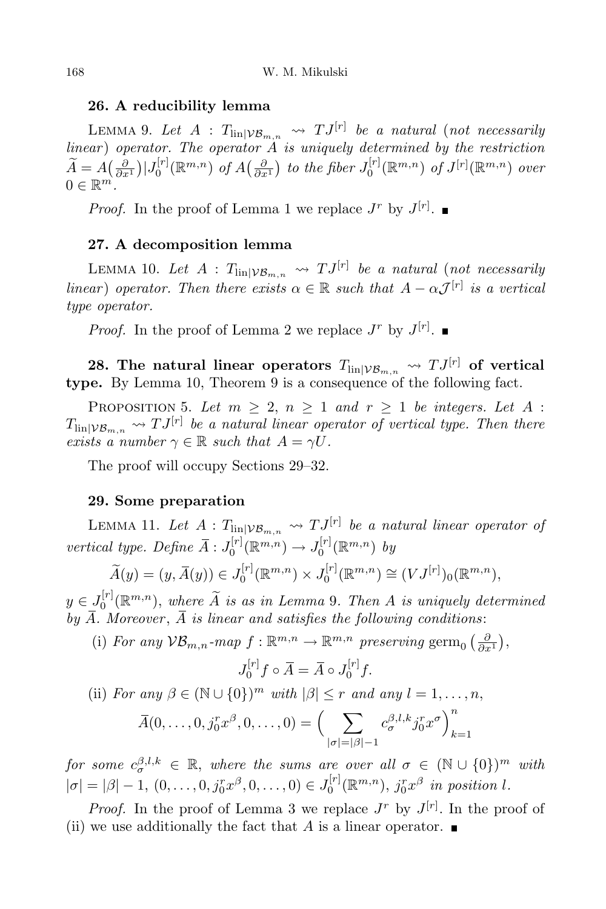#### **26. A reducibility lemma**

LEMMA 9. Let  $A: T_{\text{lin}|\mathcal{VB}_{m,n}} \rightsquigarrow TJ^{[r]}$  be a natural (not necessarily *linear* ) *operator. The operator A is uniquely determined by the restriction*  $\widetilde{A} = A\left(\frac{\partial}{\partial x^1}\right)|J_0^{[r]}$  $\int_0^{[r]} (\mathbb{R}^{m,n}) \text{ of } A\left(\frac{\partial}{\partial x^1}\right) \text{ to the fiber } J_0^{[r]}$  $\int_0^{\lfloor r \rfloor} (\mathbb{R}^{m,n}) \, \text{ of } J^{[r]}(\mathbb{R}^{m,n}) \, \text{ over } \,$  $0 \in \mathbb{R}^m$ .

*Proof.* In the proof of Lemma 1 we replace  $J^r$  by  $J^{[r]}$ .

### **27. A decomposition lemma**

LEMMA 10. Let  $A: T_{\text{lin}|\mathcal{VB}_{m,n}} \rightsquigarrow TJ^{[r]}$  be a natural (not necessarily *linear*) *operator. Then there exists*  $\alpha \in \mathbb{R}$  *such that*  $A - \alpha \mathcal{J}^{[r]}$  *is a vertical type operator.*

*Proof.* In the proof of Lemma 2 we replace  $J^r$  by  $J^{[r]}$ .

**28.** The natural linear operators  $T_{\text{lin}|VB_{m,n}} \nightharpoonup TJ^{[r]}$  of vertical **type.** By Lemma 10, Theorem 9 is a consequence of the following fact.

PROPOSITION 5. Let  $m \geq 2$ ,  $n \geq 1$  and  $r \geq 1$  be *integers.* Let  $A$ :  $T_{\text{lin}|V\mathcal{B}_{m,n}} \rightsquigarrow TJ^{[r]}$  be a natural linear operator of vertical type. Then there *exists a number*  $\gamma \in \mathbb{R}$  *such that*  $A = \gamma U$ *.* 

The proof will occupy Sections 29–32.

#### **29. Some preparation**

LEMMA 11. Let  $A: T_{\text{lin}|V\mathcal{B}_{m,n}} \leadsto TJ^{[r]}$  be a natural linear operator of *vertical type.* Define  $\overline{A}$  :  $J_0^{[r]}$  $J_0^{[r]}(\mathbb{R}^{m,n}) \to J_0^{[r]}$  $\int_0^{\lfloor r \rfloor} (\mathbb{R}^{m,n}) \; dy$ 

$$
\widetilde{A}(y) = (y, \overline{A}(y)) \in J_0^{[r]}(\mathbb{R}^{m,n}) \times J_0^{[r]}(\mathbb{R}^{m,n}) \cong (VJ^{[r]})_0(\mathbb{R}^{m,n}),
$$

 $y \in J_0^{[r]}$  $\int_0^{\lfloor r \rfloor} (\mathbb{R}^{m,n})$ , where  $\overline{A}$  is as in Lemma 9. Then  $A$  is uniquely determined by  $\overline{A}$ *. Moreover*,  $\overline{A}$  *is linear and satisfies the following conditions:* 

(i) *For any*  $\mathcal{VB}_{m,n}$ *-map*  $f: \mathbb{R}^{m,n} \to \mathbb{R}^{m,n}$  preserving germ<sub>0</sub>  $\left(\frac{\partial}{\partial x^1}\right)$ ,

$$
J_0^{[r]}f \circ \overline{A} = \overline{A} \circ J_0^{[r]}f.
$$

(ii) For any 
$$
\beta \in (\mathbb{N} \cup \{0\})^m
$$
 with  $|\beta| \le r$  and any  $l = 1, ..., n$ ,  

$$
\overline{A}(0, ..., 0, j_0^r x^{\beta}, 0, ..., 0) = \left(\sum_{|\sigma|=|\beta|-1} c_{\sigma}^{\beta, l, k} j_0^r x^{\sigma}\right)_{k=1}^n
$$

 $f$ *or some*  $c^{ \beta, l, k}_\sigma \in \mathbb{R},$  *where the sums are over all*  $\sigma \in (\mathbb{N} \cup \{0\})^m$  *with*  $|\sigma| = |\beta| - 1, (0, \ldots, 0, j_0^r x^{\beta}, 0, \ldots, 0) \in J_0^{[r]}$  $j_0^{\lfloor r \rfloor}(\mathbb{R}^{m,n}), j_0^r x^{\beta}$  in position *l*.

*Proof.* In the proof of Lemma 3 we replace  $J^r$  by  $J^{[r]}$ . In the proof of (ii) we use additionally the fact that A is a linear operator.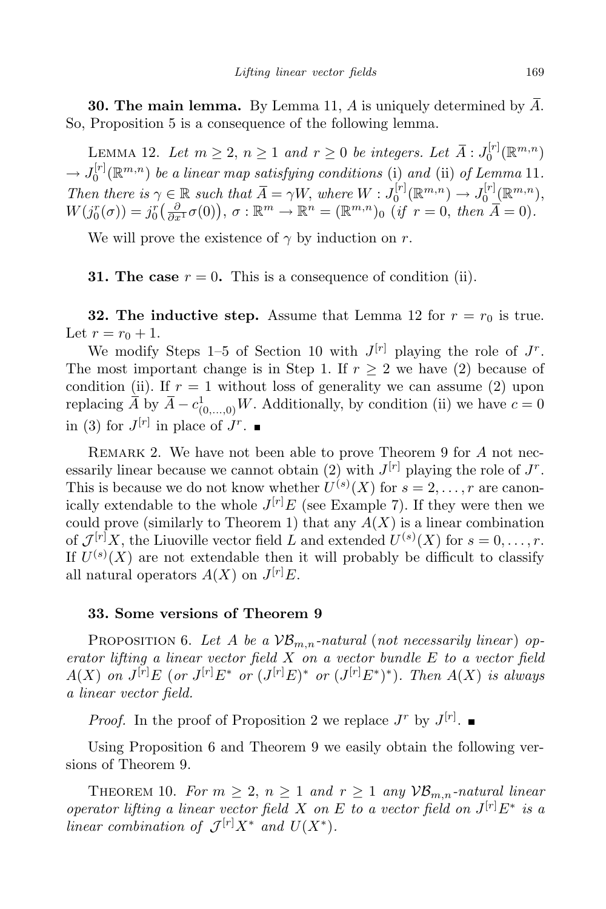**30. The main lemma.** By Lemma 11, *A* is uniquely determined by *A*. So, Proposition 5 is a consequence of the following lemma.

LEMMA 12. Let  $m \geq 2$ ,  $n \geq 1$  and  $r \geq 0$  be integers. Let  $\overline{A}$  :  $J_0^{[r]}$  $\mathcal{O}^{[r]}(\mathbb{R}^{m,n})$  $\rightarrow J_0^{[r]}$  $\int_0^{\lfloor r \rfloor} (\mathbb{R}^{m,n})$  *be a linear map satisfying conditions* (i) *and* (ii) *of Lemma* 11*. Then there is*  $\gamma \in \mathbb{R}$  *such that*  $\overline{A} = \gamma W$ , *where*  $W : J_0^{[r]}$  $J_0^{[r]}(\mathbb{R}^{m,n}) \rightarrow J_0^{[r]}$  $\cup_{0}^{\lfloor r\rfloor}$  ( $\mathbb{R}^{m,n}$ ),  $W(j_0^r(\sigma)) = j_0^r\left(\frac{\partial}{\partial x^1}\sigma(0)\right), \sigma : \mathbb{R}^m \to \mathbb{R}^n = (\mathbb{R}^{m,n})_0 \text{ (if } r = 0, \text{ then } \overline{A} = 0).$ 

We will prove the existence of  $\gamma$  by induction on *r*.

**31.** The case  $r = 0$ . This is a consequence of condition (ii).

**32.** The **inductive** step. Assume that Lemma 12 for  $r = r_0$  is true. Let  $r = r_0 + 1$ .

We modify Steps 1–5 of Section 10 with  $J^{[r]}$  playing the role of  $J^r$ . The most important change is in Step 1. If  $r \geq 2$  we have (2) because of condition (ii). If  $r = 1$  without loss of generality we can assume (2) upon replacing  $\overline{A}$  by  $\overline{A} - c^1_{(0,\ldots,0)}W$ . Additionally, by condition (ii) we have  $c = 0$ in (3) for  $J^{[r]}$  in place of  $J^r$ .

REMARK 2. We have not been able to prove Theorem 9 for A not necessarily linear because we cannot obtain (2) with  $J^{[r]}$  playing the role of  $J^r$ . This is because we do not know whether  $U^{(s)}(X)$  for  $s = 2, \ldots, r$  are canonically extendable to the whole  $J^{[r]}E$  (see Example 7). If they were then we could prove (similarly to Theorem 1) that any  $A(X)$  is a linear combination of  $\mathcal{J}^{[r]}X$ , the Liuoville vector field *L* and extended  $U^{(s)}(X)$  for  $s = 0, \ldots, r$ . If  $U^{(s)}(X)$  are not extendable then it will probably be difficult to classify all natural operators  $A(X)$  on  $J^{[r]}E$ .

## **33. Some versions of Theorem 9**

PROPOSITION 6. Let A be a  $VB_{m,n}$ -natural (not necessarily linear) op*erator lifting a linear vector field X on a vector bundle E to a vector field*  $A(X)$  on  $J^{[r]}E$  (or  $J^{[r]}E^*$  or  $(J^{[r]}E)^*$  or  $(J^{[r]}E^*)^*)$ . Then  $A(X)$  is always *a linear vector field.*

*Proof.* In the proof of Proposition 2 we replace  $J^r$  by  $J^{[r]}$ .

Using Proposition 6 and Theorem 9 we easily obtain the following versions of Theorem 9.

THEOREM 10. For  $m \geq 2$ ,  $n \geq 1$  and  $r \geq 1$  any  $\mathcal{VB}_{m,n}$ -natural linear *operator lifting a linear vector field X on E to a vector field on*  $J^{[r]}E^*$  *is a linear combination of*  $\mathcal{J}^{[r]}X^*$  *and*  $U(X^*)$ *.*